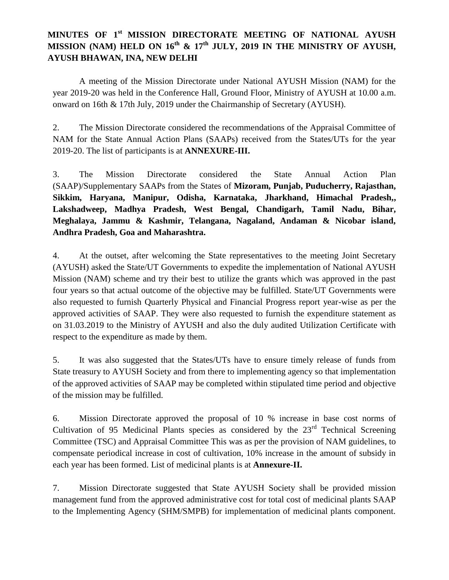## **MINUTES OF 1st MISSION DIRECTORATE MEETING OF NATIONAL AYUSH MISSION (NAM) HELD ON 16th & 17th JULY, 2019 IN THE MINISTRY OF AYUSH, AYUSH BHAWAN, INA, NEW DELHI**

A meeting of the Mission Directorate under National AYUSH Mission (NAM) for the year 2019-20 was held in the Conference Hall, Ground Floor, Ministry of AYUSH at 10.00 a.m. onward on 16th & 17th July, 2019 under the Chairmanship of Secretary (AYUSH).

2. The Mission Directorate considered the recommendations of the Appraisal Committee of NAM for the State Annual Action Plans (SAAPs) received from the States/UTs for the year 2019-20. The list of participants is at **ANNEXURE-III.**

3. The Mission Directorate considered the State Annual Action Plan (SAAP)/Supplementary SAAPs from the States of **Mizoram, Punjab, Puducherry, Rajasthan, Sikkim, Haryana, Manipur, Odisha, Karnataka, Jharkhand, Himachal Pradesh,, Lakshadweep, Madhya Pradesh, West Bengal, Chandigarh, Tamil Nadu, Bihar, Meghalaya, Jammu & Kashmir, Telangana, Nagaland, Andaman & Nicobar island, Andhra Pradesh, Goa and Maharashtra.**

4. At the outset, after welcoming the State representatives to the meeting Joint Secretary (AYUSH) asked the State/UT Governments to expedite the implementation of National AYUSH Mission (NAM) scheme and try their best to utilize the grants which was approved in the past four years so that actual outcome of the objective may be fulfilled. State/UT Governments were also requested to furnish Quarterly Physical and Financial Progress report year-wise as per the approved activities of SAAP. They were also requested to furnish the expenditure statement as on 31.03.2019 to the Ministry of AYUSH and also the duly audited Utilization Certificate with respect to the expenditure as made by them.

5. It was also suggested that the States/UTs have to ensure timely release of funds from State treasury to AYUSH Society and from there to implementing agency so that implementation of the approved activities of SAAP may be completed within stipulated time period and objective of the mission may be fulfilled.

6. Mission Directorate approved the proposal of 10 % increase in base cost norms of Cultivation of 95 Medicinal Plants species as considered by the  $23<sup>rd</sup>$  Technical Screening Committee (TSC) and Appraisal Committee This was as per the provision of NAM guidelines, to compensate periodical increase in cost of cultivation, 10% increase in the amount of subsidy in each year has been formed. List of medicinal plants is at **Annexure-II.**

7. Mission Directorate suggested that State AYUSH Society shall be provided mission management fund from the approved administrative cost for total cost of medicinal plants SAAP to the Implementing Agency (SHM/SMPB) for implementation of medicinal plants component.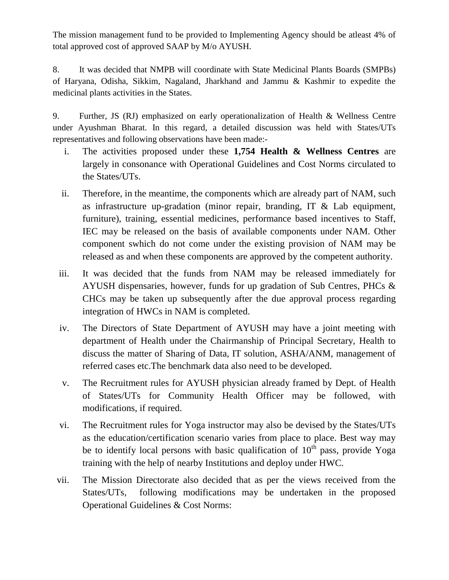The mission management fund to be provided to Implementing Agency should be atleast 4% of total approved cost of approved SAAP by M/o AYUSH.

8. It was decided that NMPB will coordinate with State Medicinal Plants Boards (SMPBs) of Haryana, Odisha, Sikkim, Nagaland, Jharkhand and Jammu & Kashmir to expedite the medicinal plants activities in the States.

9. Further, JS (RJ) emphasized on early operationalization of Health & Wellness Centre under Ayushman Bharat. In this regard, a detailed discussion was held with States/UTs representatives and following observations have been made:-

- i. The activities proposed under these **1,754 Health & Wellness Centres** are largely in consonance with Operational Guidelines and Cost Norms circulated to the States/UTs.
- ii. Therefore, in the meantime, the components which are already part of NAM, such as infrastructure up-gradation (minor repair, branding, IT & Lab equipment, furniture), training, essential medicines, performance based incentives to Staff, IEC may be released on the basis of available components under NAM. Other component swhich do not come under the existing provision of NAM may be released as and when these components are approved by the competent authority.
- iii. It was decided that the funds from NAM may be released immediately for AYUSH dispensaries, however, funds for up gradation of Sub Centres, PHCs & CHCs may be taken up subsequently after the due approval process regarding integration of HWCs in NAM is completed.
- iv. The Directors of State Department of AYUSH may have a joint meeting with department of Health under the Chairmanship of Principal Secretary, Health to discuss the matter of Sharing of Data, IT solution, ASHA/ANM, management of referred cases etc.The benchmark data also need to be developed.
- v. The Recruitment rules for AYUSH physician already framed by Dept. of Health of States/UTs for Community Health Officer may be followed, with modifications, if required.
- vi. The Recruitment rules for Yoga instructor may also be devised by the States/UTs as the education/certification scenario varies from place to place. Best way may be to identify local persons with basic qualification of  $10<sup>th</sup>$  pass, provide Yoga training with the help of nearby Institutions and deploy under HWC.
- vii. The Mission Directorate also decided that as per the views received from the States/UTs, following modifications may be undertaken in the proposed Operational Guidelines & Cost Norms: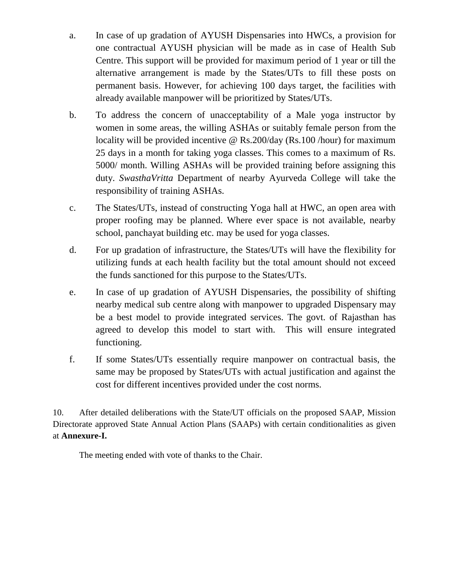- a. In case of up gradation of AYUSH Dispensaries into HWCs, a provision for one contractual AYUSH physician will be made as in case of Health Sub Centre. This support will be provided for maximum period of 1 year or till the alternative arrangement is made by the States/UTs to fill these posts on permanent basis. However, for achieving 100 days target, the facilities with already available manpower will be prioritized by States/UTs.
- b. To address the concern of unacceptability of a Male yoga instructor by women in some areas, the willing ASHAs or suitably female person from the locality will be provided incentive @ Rs.200/day (Rs.100 /hour) for maximum 25 days in a month for taking yoga classes. This comes to a maximum of Rs. 5000/ month. Willing ASHAs will be provided training before assigning this duty. *SwasthaVritta* Department of nearby Ayurveda College will take the responsibility of training ASHAs.
- c. The States/UTs, instead of constructing Yoga hall at HWC, an open area with proper roofing may be planned. Where ever space is not available, nearby school, panchayat building etc. may be used for yoga classes.
- d. For up gradation of infrastructure, the States/UTs will have the flexibility for utilizing funds at each health facility but the total amount should not exceed the funds sanctioned for this purpose to the States/UTs.
- e. In case of up gradation of AYUSH Dispensaries, the possibility of shifting nearby medical sub centre along with manpower to upgraded Dispensary may be a best model to provide integrated services. The govt. of Rajasthan has agreed to develop this model to start with. This will ensure integrated functioning.
- f. If some States/UTs essentially require manpower on contractual basis, the same may be proposed by States/UTs with actual justification and against the cost for different incentives provided under the cost norms.

10. After detailed deliberations with the State/UT officials on the proposed SAAP, Mission Directorate approved State Annual Action Plans (SAAPs) with certain conditionalities as given at **Annexure-I.**

The meeting ended with vote of thanks to the Chair.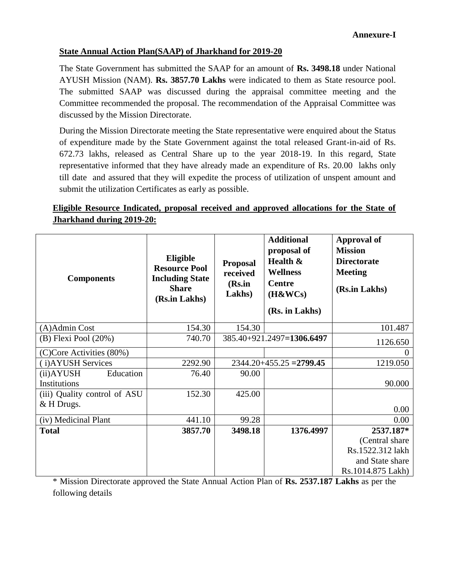## **State Annual Action Plan(SAAP) of Jharkhand for 2019-20**

The State Government has submitted the SAAP for an amount of **Rs. 3498.18** under National AYUSH Mission (NAM). **Rs. 3857.70 Lakhs** were indicated to them as State resource pool. The submitted SAAP was discussed during the appraisal committee meeting and the Committee recommended the proposal. The recommendation of the Appraisal Committee was discussed by the Mission Directorate.

During the Mission Directorate meeting the State representative were enquired about the Status of expenditure made by the State Government against the total released Grant-in-aid of Rs. 672.73 lakhs, released as Central Share up to the year 2018-19. In this regard, State representative informed that they have already made an expenditure of Rs. 20.00 lakhs only till date and assured that they will expedite the process of utilization of unspent amount and submit the utilization Certificates as early as possible.

## **Eligible Resource Indicated, proposal received and approved allocations for the State of Jharkhand during 2019-20:**

| <b>Components</b>            | Eligible<br><b>Resource Pool</b><br><b>Including State</b><br><b>Share</b><br>(Rs.in Lakhs) | <b>Proposal</b><br>received<br>(Rs.in<br>Lakhs) | <b>Additional</b><br>proposal of<br>Health &<br><b>Wellness</b><br><b>Centre</b><br>(H&WCs)<br>(Rs. in Lakhs) | <b>Approval of</b><br><b>Mission</b><br><b>Directorate</b><br><b>Meeting</b><br>(Rs.in Lakhs) |
|------------------------------|---------------------------------------------------------------------------------------------|-------------------------------------------------|---------------------------------------------------------------------------------------------------------------|-----------------------------------------------------------------------------------------------|
| (A)Admin Cost                | 154.30                                                                                      | 154.30                                          |                                                                                                               | 101.487                                                                                       |
| $(B)$ Flexi Pool $(20%)$     | 740.70                                                                                      |                                                 | 385.40+921.2497=1306.6497                                                                                     | 1126.650                                                                                      |
| (C)Core Activities (80%)     |                                                                                             |                                                 |                                                                                                               |                                                                                               |
| (i) AYUSH Services           | 2292.90                                                                                     |                                                 | $2344.20 + 455.25 = 2799.45$                                                                                  | 1219.050                                                                                      |
| Education<br>(ii) AYUSH      | 76.40                                                                                       | 90.00                                           |                                                                                                               |                                                                                               |
| Institutions                 |                                                                                             |                                                 |                                                                                                               | 90.000                                                                                        |
| (iii) Quality control of ASU | 152.30                                                                                      | 425.00                                          |                                                                                                               |                                                                                               |
| & H Drugs.                   |                                                                                             |                                                 |                                                                                                               | 0.00                                                                                          |
| (iv) Medicinal Plant         | 441.10                                                                                      | 99.28                                           |                                                                                                               | 0.00                                                                                          |
| <b>Total</b>                 | 3857.70                                                                                     | 3498.18                                         | 1376.4997                                                                                                     | 2537.187*                                                                                     |
|                              |                                                                                             |                                                 |                                                                                                               | (Central share)                                                                               |
|                              |                                                                                             |                                                 |                                                                                                               | Rs.1522.312 lakh                                                                              |
|                              |                                                                                             |                                                 |                                                                                                               | and State share                                                                               |
|                              |                                                                                             |                                                 |                                                                                                               | Rs.1014.875 Lakh)                                                                             |

\* Mission Directorate approved the State Annual Action Plan of **Rs. 2537.187 Lakhs** as per the following details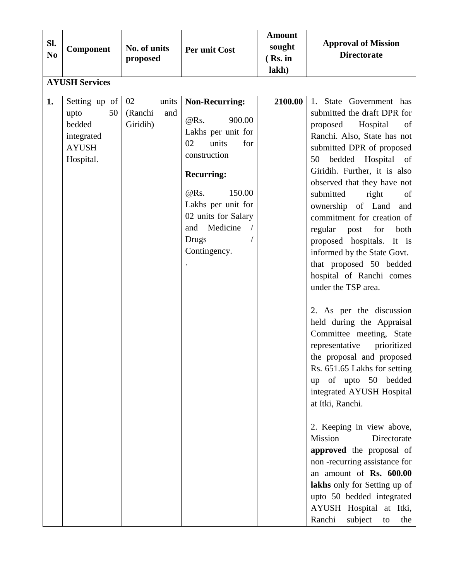| Sl.<br>N <sub>0</sub> | Component                                                                        | No. of units<br>proposed                  | Per unit Cost                                                                                                                                                                                                                    | <b>Amount</b><br>sought<br>$(Rs.$ in<br>lakh) | <b>Approval of Mission</b><br><b>Directorate</b>                                                                                                                                                                                                                                                                                                                                                                                                                                                                                                                                                                                                                                                                                                                                                                                                                                                                                                                                                                                               |
|-----------------------|----------------------------------------------------------------------------------|-------------------------------------------|----------------------------------------------------------------------------------------------------------------------------------------------------------------------------------------------------------------------------------|-----------------------------------------------|------------------------------------------------------------------------------------------------------------------------------------------------------------------------------------------------------------------------------------------------------------------------------------------------------------------------------------------------------------------------------------------------------------------------------------------------------------------------------------------------------------------------------------------------------------------------------------------------------------------------------------------------------------------------------------------------------------------------------------------------------------------------------------------------------------------------------------------------------------------------------------------------------------------------------------------------------------------------------------------------------------------------------------------------|
|                       | <b>AYUSH Services</b>                                                            |                                           |                                                                                                                                                                                                                                  |                                               |                                                                                                                                                                                                                                                                                                                                                                                                                                                                                                                                                                                                                                                                                                                                                                                                                                                                                                                                                                                                                                                |
| 1.                    | Setting up of<br>50<br>upto<br>bedded<br>integrated<br><b>AYUSH</b><br>Hospital. | 02<br>units<br>(Ranchi<br>and<br>Giridih) | <b>Non-Recurring:</b><br>@Rs.<br>900.00<br>Lakhs per unit for<br>02<br>units<br>for<br>construction<br><b>Recurring:</b><br>@RS.<br>150.00<br>Lakhs per unit for<br>02 units for Salary<br>and Medicine<br>Drugs<br>Contingency. | 2100.00                                       | 1. State Government has<br>submitted the draft DPR for<br>proposed Hospital<br>of<br>Ranchi. Also, State has not<br>submitted DPR of proposed<br>bedded Hospital of<br>50<br>Giridih. Further, it is also<br>observed that they have not<br>submitted<br>right<br>of<br>ownership of Land<br>and<br>commitment for creation of<br>regular<br>for<br>post<br>both<br>proposed hospitals. It is<br>informed by the State Govt.<br>that proposed 50 bedded<br>hospital of Ranchi comes<br>under the TSP area.<br>2. As per the discussion<br>held during the Appraisal<br>Committee meeting, State<br>representative<br>prioritized<br>the proposal and proposed<br>Rs. 651.65 Lakhs for setting<br>up of upto 50 bedded<br>integrated AYUSH Hospital<br>at Itki, Ranchi.<br>2. Keeping in view above,<br>Mission<br>Directorate<br>approved the proposal of<br>non-recurring assistance for<br>an amount of Rs. 600.00<br>lakhs only for Setting up of<br>upto 50 bedded integrated<br>AYUSH Hospital at Itki,<br>Ranchi<br>subject<br>the<br>to |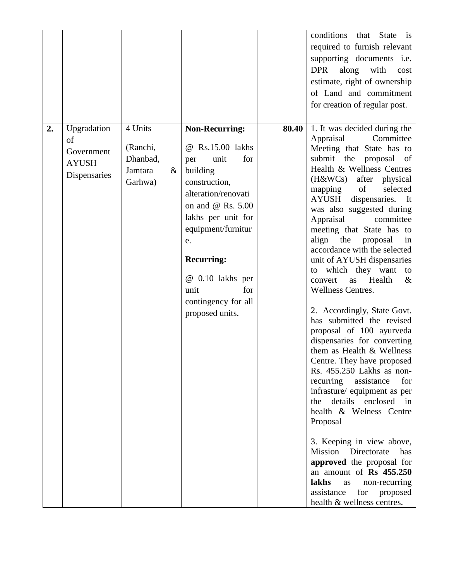|                          |                                           |                                                               |                                                                                                                                                                                                                                                                                                  |       | conditions<br>that<br><b>State</b><br>is<br>required to furnish relevant<br>supporting documents i.e.<br><b>DPR</b><br>along<br>with<br>cost<br>estimate, right of ownership<br>of Land and commitment                                                                                                                                                                                                                                                                                                                                                                                                                                                                                                                                                                                                                                                                                                                                                                                                                                                                                  |
|--------------------------|-------------------------------------------|---------------------------------------------------------------|--------------------------------------------------------------------------------------------------------------------------------------------------------------------------------------------------------------------------------------------------------------------------------------------------|-------|-----------------------------------------------------------------------------------------------------------------------------------------------------------------------------------------------------------------------------------------------------------------------------------------------------------------------------------------------------------------------------------------------------------------------------------------------------------------------------------------------------------------------------------------------------------------------------------------------------------------------------------------------------------------------------------------------------------------------------------------------------------------------------------------------------------------------------------------------------------------------------------------------------------------------------------------------------------------------------------------------------------------------------------------------------------------------------------------|
|                          |                                           |                                                               |                                                                                                                                                                                                                                                                                                  |       | for creation of regular post.                                                                                                                                                                                                                                                                                                                                                                                                                                                                                                                                                                                                                                                                                                                                                                                                                                                                                                                                                                                                                                                           |
| 2.<br>of<br><b>AYUSH</b> | Upgradation<br>Government<br>Dispensaries | 4 Units<br>(Ranchi,<br>Dhanbad,<br>Jamtara<br>$\&$<br>Garhwa) | <b>Non-Recurring:</b><br>@ Rs.15.00 lakhs<br>for<br>unit<br>per<br>building<br>construction,<br>alteration/renovati<br>on and $@$ Rs. $5.00$<br>lakhs per unit for<br>equipment/furnitur<br>e.<br><b>Recurring:</b><br>@ 0.10 lakhs per<br>unit<br>for<br>contingency for all<br>proposed units. | 80.40 | 1. It was decided during the<br>Committee<br>Appraisal<br>Meeting that State has to<br>submit the proposal<br>of<br>Health & Wellness Centres<br>$(H&\mathbb{W}C_s)$<br>after physical<br>selected<br>of<br>mapping<br>AYUSH<br>dispensaries. It<br>was also suggested during<br>Appraisal<br>committee<br>meeting that State has to<br>align the proposal<br>in<br>accordance with the selected<br>unit of AYUSH dispensaries<br>to which they want<br>to<br>Health<br>$\&$<br>convert<br>as<br>Wellness Centres.<br>2. Accordingly, State Govt.<br>has submitted the revised<br>proposal of 100 ayurveda<br>dispensaries for converting<br>them as Health & Wellness<br>Centre. They have proposed<br>Rs. 455.250 Lakhs as non-<br>for<br>recurring assistance<br>infrasture/ equipment as per<br>details enclosed in<br>the<br>health & Welness Centre<br>Proposal<br>3. Keeping in view above,<br>Mission Directorate<br>has<br>approved the proposal for<br>an amount of Rs 455.250<br>lakhs<br>non-recurring<br>as<br>assistance<br>for<br>proposed<br>health & wellness centres. |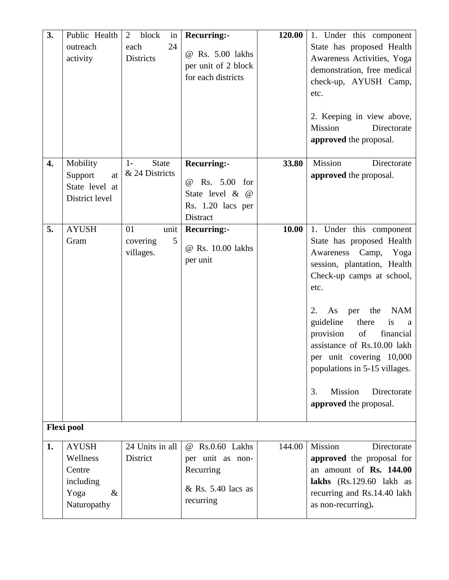| 3. | Public Health<br>outreach<br>activity                                                               | $\overline{2}$<br>block<br>in<br>24<br>each<br><b>Districts</b> | <b>Recurring:-</b><br>@ Rs. 5.00 lakhs<br>per unit of 2 block<br>for each districts             | 120.00 | 1. Under this component<br>State has proposed Health<br>Awareness Activities, Yoga<br>demonstration, free medical<br>check-up, AYUSH Camp,<br>etc.<br>2. Keeping in view above,<br>Mission<br>Directorate<br>approved the proposal.                                                                                                                                                                             |
|----|-----------------------------------------------------------------------------------------------------|-----------------------------------------------------------------|-------------------------------------------------------------------------------------------------|--------|-----------------------------------------------------------------------------------------------------------------------------------------------------------------------------------------------------------------------------------------------------------------------------------------------------------------------------------------------------------------------------------------------------------------|
| 4. | Mobility<br>Support<br>at<br>State level at<br>District level                                       | <b>State</b><br>$1-$<br>& 24 Districts                          | <b>Recurring:-</b><br>Rs. 5.00 for<br>(a)<br>State level & @<br>Rs. 1.20 lacs per<br>Distract   | 33.80  | Mission<br>Directorate<br>approved the proposal.                                                                                                                                                                                                                                                                                                                                                                |
| 5. | <b>AYUSH</b><br>Gram                                                                                | unit<br>01<br>5<br>covering<br>villages.                        | <b>Recurring:-</b><br>@ Rs. 10.00 lakhs<br>per unit                                             | 10.00  | 1. Under this component<br>State has proposed Health<br>Awareness Camp, Yoga<br>session, plantation, Health<br>Check-up camps at school,<br>etc.<br><b>NAM</b><br>As<br>the<br>2.<br>per<br>guideline<br>there<br>is<br>a<br>of<br>provision<br>financial<br>assistance of Rs.10.00 lakh<br>per unit covering 10,000<br>populations in 5-15 villages.<br>Mission<br>3.<br>Directorate<br>approved the proposal. |
| 1. | <b>Flexi</b> pool<br><b>AYUSH</b><br>Wellness<br>Centre<br>including<br>$\&$<br>Yoga<br>Naturopathy | 24 Units in all<br>District                                     | Rs.0.60 Lakhs<br>$\omega$<br>per unit as non-<br>Recurring<br>$&$ Rs. 5.40 lacs as<br>recurring | 144.00 | Mission<br>Directorate<br>approved the proposal for<br>an amount of Rs. 144.00<br>lakhs (Rs.129.60 lakh as<br>recurring and Rs.14.40 lakh<br>as non-recurring).                                                                                                                                                                                                                                                 |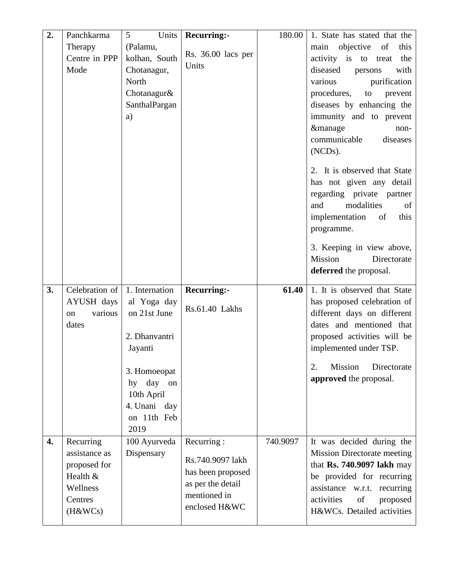| 2. | Panchkarma         | Units<br>5                  | <b>Recurring:-</b> | 180.00   | 1. State has stated that the                                |
|----|--------------------|-----------------------------|--------------------|----------|-------------------------------------------------------------|
|    | Therapy            | (Palamu,                    |                    |          | objective<br>of<br>this<br>main                             |
|    | Centre in PPP      | kolhan, South               | Rs. 36.00 lacs per |          | activity is to<br>the<br>treat                              |
|    | Mode               | Chotanagur,                 | Units              |          | diseased<br>with<br>persons                                 |
|    |                    | North                       |                    |          | purification<br>various                                     |
|    |                    | Chotanagur&                 |                    |          | procedures,<br>prevent<br>to                                |
|    |                    | SanthalPargan               |                    |          | diseases by enhancing the                                   |
|    |                    | a)                          |                    |          | immunity and to prevent                                     |
|    |                    |                             |                    |          | <i>&amp;manage</i><br>non-                                  |
|    |                    |                             |                    |          | communicable<br>diseases                                    |
|    |                    |                             |                    |          | (NCD <sub>s</sub> ).                                        |
|    |                    |                             |                    |          |                                                             |
|    |                    |                             |                    |          | 2. It is observed that State                                |
|    |                    |                             |                    |          | has not given any detail<br>regarding private partner       |
|    |                    |                             |                    |          | modalities<br>and<br>of                                     |
|    |                    |                             |                    |          | implementation<br>of<br>this                                |
|    |                    |                             |                    |          | programme.                                                  |
|    |                    |                             |                    |          |                                                             |
|    |                    |                             |                    |          | 3. Keeping in view above,                                   |
|    |                    |                             |                    |          | Mission<br>Directorate                                      |
|    |                    |                             |                    |          | deferred the proposal.                                      |
|    |                    |                             |                    |          |                                                             |
| 3. | Celebration of     | 1. Internation              |                    | 61.40    |                                                             |
|    | AYUSH days         |                             | <b>Recurring:-</b> |          | 1. It is observed that State<br>has proposed celebration of |
|    | various<br>on      | al Yoga day<br>on 21st June | Rs.61.40 Lakhs     |          | different days on different                                 |
|    | dates              |                             |                    |          | dates and mentioned that                                    |
|    |                    | 2. Dhanvantri               |                    |          | proposed activities will be                                 |
|    |                    | Jayanti                     |                    |          | implemented under TSP.                                      |
|    |                    |                             |                    |          |                                                             |
|    |                    | 3. Homoeopat                |                    |          | Mission<br>Directorate<br>2.                                |
|    |                    | hy day<br>on                |                    |          | approved the proposal.                                      |
|    |                    | 10th April                  |                    |          |                                                             |
|    |                    | 4. Unani day                |                    |          |                                                             |
|    |                    | on 11th Feb                 |                    |          |                                                             |
|    |                    | 2019                        |                    |          |                                                             |
| 4. | Recurring          | 100 Ayurveda                | Recurring:         | 740.9097 | It was decided during the                                   |
|    | assistance as      | Dispensary                  | Rs.740.9097 lakh   |          | <b>Mission Directorate meeting</b>                          |
|    | proposed for       |                             | has been proposed  |          | that Rs. 740.9097 lakh may                                  |
|    | Health &           |                             | as per the detail  |          | be provided for recurring                                   |
|    | Wellness           |                             | mentioned in       |          | assistance w.r.t. recurring                                 |
|    | Centres<br>(H&WCs) |                             | enclosed H&WC      |          | activities<br>of<br>proposed<br>H&WCs. Detailed activities  |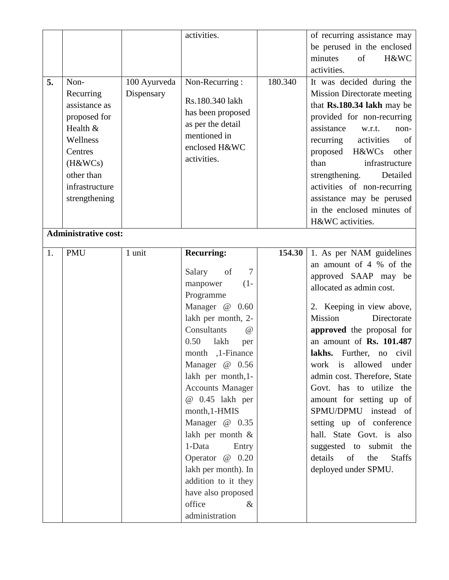| 5. | Non-<br>Recurring<br>assistance as<br>proposed for<br>Health &<br>Wellness<br>Centres<br>(H&WCs)<br>other than<br>infrastructure<br>strengthening | 100 Ayurveda<br>Dispensary | activities.<br>Non-Recurring:<br>Rs.180.340 lakh<br>has been proposed<br>as per the detail<br>mentioned in<br>enclosed H&WC<br>activities.                                                                                                                                                                                                                                                                                                                    | 180.340 | of recurring assistance may<br>be perused in the enclosed<br>minutes<br>of<br>H&WC<br>activities.<br>It was decided during the<br><b>Mission Directorate meeting</b><br>that Rs.180.34 lakh may be<br>provided for non-recurring<br>assistance<br>w.r.t.<br>non-<br>recurring<br>activities<br>of<br>proposed H&WCs<br>other<br>than<br>infrastructure<br>strengthening.<br>Detailed<br>activities of non-recurring<br>assistance may be perused<br>in the enclosed minutes of                                                 |
|----|---------------------------------------------------------------------------------------------------------------------------------------------------|----------------------------|---------------------------------------------------------------------------------------------------------------------------------------------------------------------------------------------------------------------------------------------------------------------------------------------------------------------------------------------------------------------------------------------------------------------------------------------------------------|---------|--------------------------------------------------------------------------------------------------------------------------------------------------------------------------------------------------------------------------------------------------------------------------------------------------------------------------------------------------------------------------------------------------------------------------------------------------------------------------------------------------------------------------------|
|    | <b>Administrative cost:</b>                                                                                                                       |                            |                                                                                                                                                                                                                                                                                                                                                                                                                                                               |         | H&WC activities.                                                                                                                                                                                                                                                                                                                                                                                                                                                                                                               |
| 1. | <b>PMU</b>                                                                                                                                        | 1 unit                     | <b>Recurring:</b>                                                                                                                                                                                                                                                                                                                                                                                                                                             | 154.30  | 1. As per NAM guidelines                                                                                                                                                                                                                                                                                                                                                                                                                                                                                                       |
|    |                                                                                                                                                   |                            | Salary<br>of<br>7<br>manpower<br>$(1 -$<br>Programme<br>Manager @ 0.60<br>lakh per month, 2-<br>Consultants<br>$\omega$<br>0.50<br>lakh<br>per<br>month ,1-Finance<br>Manager @ 0.56<br>lakh per month, 1-<br><b>Accounts Manager</b><br>@ 0.45 lakh per<br>month, 1-HMIS<br>Manager @ 0.35<br>lakh per month &<br>1-Data<br>Entry<br>Operator @ 0.20<br>lakh per month). In<br>addition to it they<br>have also proposed<br>office<br>$\&$<br>administration |         | an amount of 4 % of the<br>approved SAAP may be<br>allocated as admin cost.<br>2. Keeping in view above,<br>Mission<br>Directorate<br>approved the proposal for<br>an amount of Rs. 101.487<br>lakhs. Further,<br>civil<br>no<br>work is allowed<br>under<br>admin cost. Therefore, State<br>Govt. has to utilize the<br>amount for setting up of<br>SPMU/DPMU instead of<br>setting up of conference<br>hall. State Govt. is also<br>suggested to submit the<br>details<br>of<br>the<br><b>Staffs</b><br>deployed under SPMU. |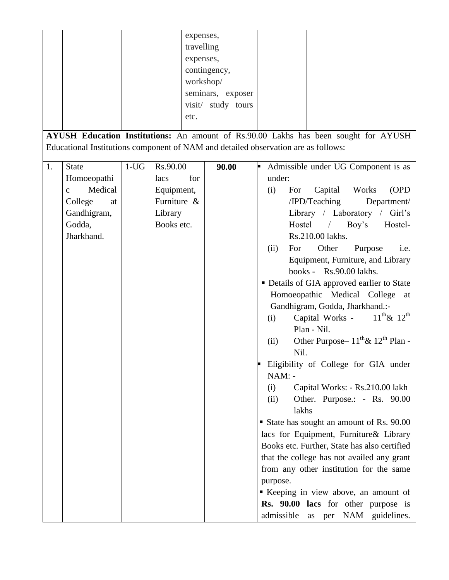|    |                         |           |             | expenses,          |                                                                                     |
|----|-------------------------|-----------|-------------|--------------------|-------------------------------------------------------------------------------------|
|    |                         |           |             | travelling         |                                                                                     |
|    |                         | expenses, |             |                    |                                                                                     |
|    |                         |           |             | contingency,       |                                                                                     |
|    |                         |           |             | workshop/          |                                                                                     |
|    |                         |           |             |                    |                                                                                     |
|    |                         |           |             | seminars, exposer  |                                                                                     |
|    |                         |           |             | visit/ study tours |                                                                                     |
|    |                         |           | etc.        |                    |                                                                                     |
|    |                         |           |             |                    |                                                                                     |
|    |                         |           |             |                    | AYUSH Education Institutions: An amount of Rs.90.00 Lakhs has been sought for AYUSH |
|    |                         |           |             |                    | Educational Institutions component of NAM and detailed observation are as follows:  |
|    |                         |           |             |                    |                                                                                     |
| 1. | <b>State</b>            | $1-UG$    | Rs.90.00    | 90.00              | Admissible under UG Component is as<br>F                                            |
|    | Homoeopathi             |           | for<br>lacs |                    | under:                                                                              |
|    | Medical<br>$\mathbf{C}$ |           | Equipment,  |                    | Capital<br>For<br>Works<br>(OPD)<br>(i)                                             |
|    | College<br>at           |           | Furniture & |                    | /IPD/Teaching<br>Department/                                                        |
|    | Gandhigram,             |           | Library     |                    | Library / Laboratory / Girl's                                                       |
|    | Godda,                  |           | Books etc.  |                    | Hostel / Boy's<br>Hostel-                                                           |
|    | Jharkhand.              |           |             |                    | Rs.210.00 lakhs.                                                                    |
|    |                         |           |             |                    | For<br>Other<br>i.e.                                                                |
|    |                         |           |             |                    | Purpose<br>(ii)                                                                     |
|    |                         |           |             |                    | Equipment, Furniture, and Library                                                   |
|    |                         |           |             |                    | books - Rs.90.00 lakhs.                                                             |
|    |                         |           |             |                    | • Details of GIA approved earlier to State                                          |
|    |                         |           |             |                    | Homoeopathic Medical College at                                                     |
|    |                         |           |             |                    | Gandhigram, Godda, Jharkhand.:-                                                     |
|    |                         |           |             |                    | $11^{th}$ & $12^{th}$<br>Capital Works -<br>(i)                                     |
|    |                         |           |             |                    | Plan - Nil.                                                                         |
|    |                         |           |             |                    | Other Purpose – $11^{th}$ & $12^{th}$ Plan -<br>(ii)                                |
|    |                         |           |             |                    | Nil.                                                                                |
|    |                         |           |             |                    |                                                                                     |
|    |                         |           |             |                    | Eligibility of College for GIA under                                                |
|    |                         |           |             |                    | NAM: -                                                                              |
|    |                         |           |             |                    | Capital Works: - Rs.210.00 lakh<br>(i)                                              |
|    |                         |           |             |                    | Other. Purpose.: - Rs. 90.00<br>(ii)                                                |
|    |                         |           |             |                    | lakhs                                                                               |
|    |                         |           |             |                    | State has sought an amount of Rs. 90.00                                             |
|    |                         |           |             |                    | lacs for Equipment, Furniture& Library                                              |
|    |                         |           |             |                    | Books etc. Further, State has also certified                                        |
|    |                         |           |             |                    | that the college has not availed any grant                                          |
|    |                         |           |             |                    | from any other institution for the same                                             |
|    |                         |           |             |                    |                                                                                     |
|    |                         |           |             |                    | purpose.                                                                            |
|    |                         |           |             |                    | Keeping in view above, an amount of                                                 |
|    |                         |           |             |                    | Rs. 90.00 lacs for other purpose is                                                 |
|    |                         |           |             |                    | admissible as per NAM guidelines.                                                   |